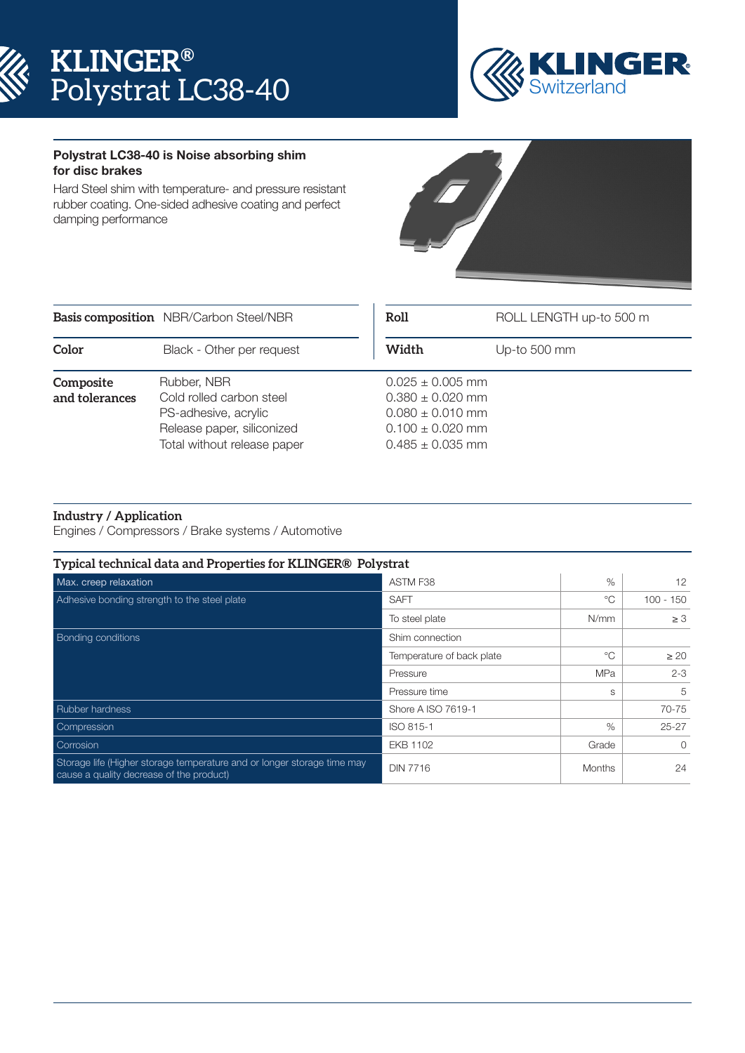



## Polystrat LC38-40 is Noise absorbing shim for disc brakes

Hard Steel shim with temperature- and pressure resistant rubber coating. One-sided adhesive coating and perfect damping performance



|                             | Basis composition NBR/Carbon Steel/NBR                                                                                       | Roll<br>ROLL LENGTH up-to 500 m                                                                                      |              |
|-----------------------------|------------------------------------------------------------------------------------------------------------------------------|----------------------------------------------------------------------------------------------------------------------|--------------|
| Color                       | Black - Other per request                                                                                                    | Width                                                                                                                | Up-to 500 mm |
| Composite<br>and tolerances | Rubber, NBR<br>Cold rolled carbon steel<br>PS-adhesive, acrylic<br>Release paper, siliconized<br>Total without release paper | $0.025 \pm 0.005$ mm<br>$0.380 \pm 0.020$ mm<br>$0.080 \pm 0.010$ mm<br>$0.100 \pm 0.020$ mm<br>$0.485 \pm 0.035$ mm |              |

## **Industry / Application**

Engines / Compressors / Brake systems / Automotive

| Typical technical data and Properties for KLINGER® Polystrat                                                        |                           |                          |             |
|---------------------------------------------------------------------------------------------------------------------|---------------------------|--------------------------|-------------|
| Max. creep relaxation                                                                                               | ASTM F38                  | $\%$                     | 12          |
| Adhesive bonding strength to the steel plate                                                                        | <b>SAFT</b>               | °೧                       | $100 - 150$ |
|                                                                                                                     | To steel plate            | N/mm                     | $\geq 3$    |
| <b>Bonding conditions</b>                                                                                           | Shim connection           | $^{\circ}$<br><b>MPa</b> |             |
|                                                                                                                     | Temperature of back plate |                          | $\geq 20$   |
|                                                                                                                     | Pressure                  |                          | $2 - 3$     |
|                                                                                                                     | Pressure time             | S                        | 5           |
| <b>Rubber hardness</b>                                                                                              | Shore A ISO 7619-1        |                          | 70-75       |
| Compression                                                                                                         | ISO 815-1                 | $\%$                     | $25 - 27$   |
| Corrosion                                                                                                           | <b>EKB 1102</b>           | Grade                    | $\Omega$    |
| Storage life (Higher storage temperature and or longer storage time may<br>cause a quality decrease of the product) | <b>DIN 7716</b>           | <b>Months</b>            | 24          |